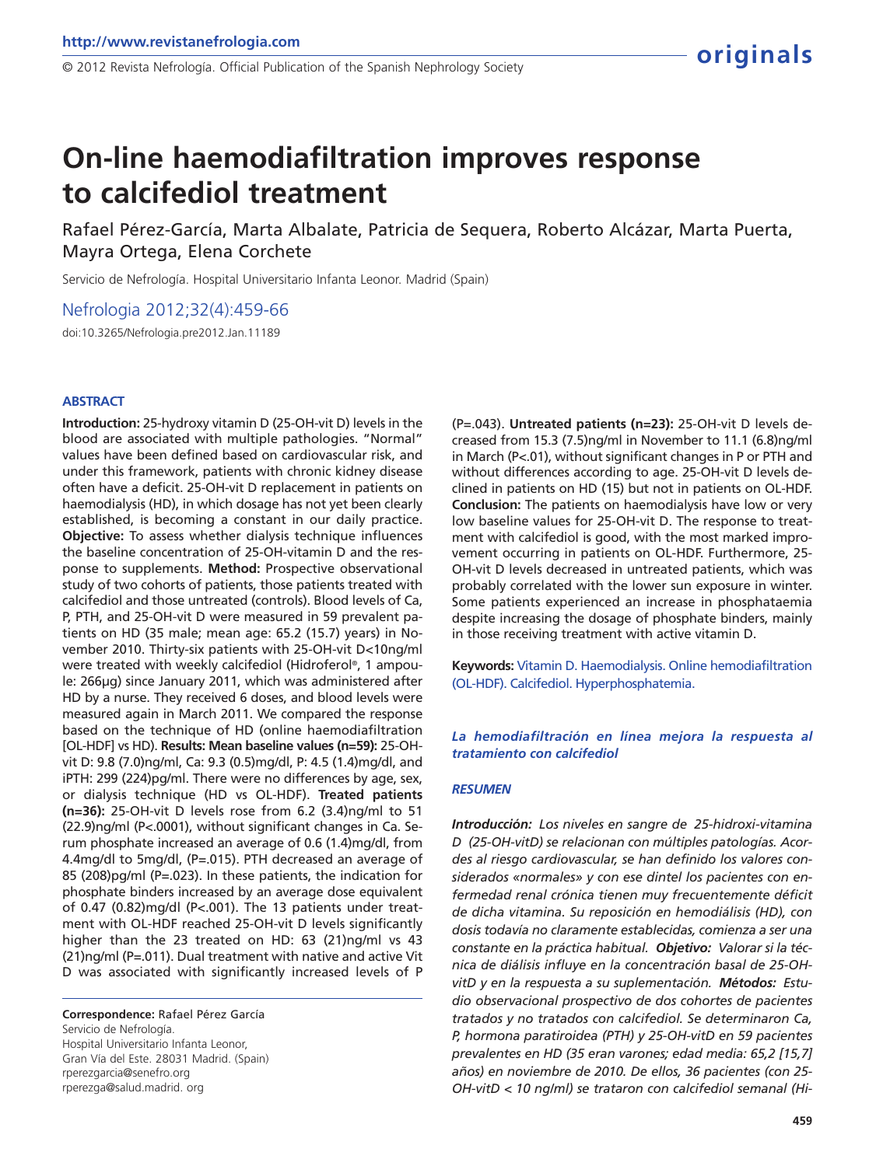# **On-line haemodiafiltration improves response to calcifediol treatment**

Rafael Pérez-García, Marta Albalate, Patricia de Sequera, Roberto Alcázar, Marta Puerta, Mayra Ortega, Elena Corchete

Servicio de Nefrología. Hospital Universitario Infanta Leonor. Madrid (Spain)

Nefrologia 2012;32(4):459-66

doi:10.3265/Nefrologia.pre2012.Jan.11189

#### **ABSTRACT**

**Introduction:** 25-hydroxy vitamin D (25-OH-vit D) levels in the blood are associated with multiple pathologies. "Normal" values have been defined based on cardiovascular risk, and under this framework, patients with chronic kidney disease often have a deficit. 25-OH-vit D replacement in patients on haemodialysis (HD), in which dosage has not yet been clearly established, is becoming a constant in our daily practice. **Objective:** To assess whether dialysis technique influences the baseline concentration of 25-OH-vitamin D and the response to supplements. **Method:** Prospective observational study of two cohorts of patients, those patients treated with calcifediol and those untreated (controls). Blood levels of Ca, P, PTH, and 25-OH-vit D were measured in 59 prevalent patients on HD (35 male; mean age: 65.2 (15.7) years) in November 2010. Thirty-six patients with 25-OH-vit D<10ng/ml were treated with weekly calcifediol (Hidroferol® , 1 ampoule: 266µg) since January 2011, which was administered after HD by a nurse. They received 6 doses, and blood levels were measured again in March 2011. We compared the response based on the technique of HD (online haemodiafiltration [OL-HDF] vs HD). **Results: Mean baseline values (n=59):** 25-OHvit D: 9.8 (7.0)ng/ml, Ca: 9.3 (0.5)mg/dl, P: 4.5 (1.4)mg/dl, and iPTH: 299 (224)pg/ml. There were no differences by age, sex, or dialysis technique (HD vs OL-HDF). **Treated patients (n=36):** 25-OH-vit D levels rose from 6.2 (3.4)ng/ml to 51 (22.9)ng/ml (P<.0001), without significant changes in Ca. Serum phosphate increased an average of 0.6 (1.4)mg/dl, from 4.4mg/dl to 5mg/dl, (P=.015). PTH decreased an average of 85 (208)pg/ml (P=.023). In these patients, the indication for phosphate binders increased by an average dose equivalent of 0.47 (0.82)mg/dl (P<.001). The 13 patients under treatment with OL-HDF reached 25-OH-vit D levels significantly higher than the 23 treated on HD: 63 (21)ng/ml vs 43 (21)ng/ml (P=.011). Dual treatment with native and active Vit D was associated with significantly increased levels of P

**Correspondence:** Rafael Pérez García Servicio de Nefrología. Hospital Universitario Infanta Leonor, Gran Vía del Este. 28031 Madrid. (Spain) rperezgarcia@senefro.org rperezga@salud.madrid. org

(P=.043). **Untreated patients (n=23):** 25-OH-vit D levels decreased from 15.3 (7.5)ng/ml in November to 11.1 (6.8)ng/ml in March (P<.01), without significant changes in P or PTH and without differences according to age. 25-OH-vit D levels declined in patients on HD (15) but not in patients on OL-HDF. **Conclusion:** The patients on haemodialysis have low or very low baseline values for 25-OH-vit D. The response to treatment with calcifediol is good, with the most marked improvement occurring in patients on OL-HDF. Furthermore, 25- OH-vit D levels decreased in untreated patients, which was probably correlated with the lower sun exposure in winter. Some patients experienced an increase in phosphataemia despite increasing the dosage of phosphate binders, mainly in those receiving treatment with active vitamin D.

**Keywords:** Vitamin D. Haemodialysis. Online hemodiafiltration (OL-HDF). Calcifediol. Hyperphosphatemia.

## *La hemodiafiltración en línea mejora la respuesta al tratamiento con calcifediol*

#### *RESUMEN*

*Introducción: Los niveles en sangre de 25-hidroxi-vitamina D (25-OH-vitD) se relacionan con múltiples patologías. Acordes al riesgo cardiovascular, se han definido los valores considerados «normales» y con ese dintel los pacientes con enfermedad renal crónica tienen muy frecuentemente déficit de dicha vitamina. Su reposición en hemodiálisis (HD), con dosis todavía no claramente establecidas, comienza a ser una constante en la práctica habitual. Objetivo: Valorar si la técnica de diálisis influye en la concentración basal de 25-OHvitD y en la respuesta a su suplementación. Métodos: Estudio observacional prospectivo de dos cohortes de pacientes tratados y no tratados con calcifediol. Se determinaron Ca, P, hormona paratiroidea (PTH) y 25-OH-vitD en 59 pacientes prevalentes en HD (35 eran varones; edad media: 65,2 [15,7] años) en noviembre de 2010. De ellos, 36 pacientes (con 25- OH-vitD < 10 ng/ml) se trataron con calcifediol semanal (Hi-*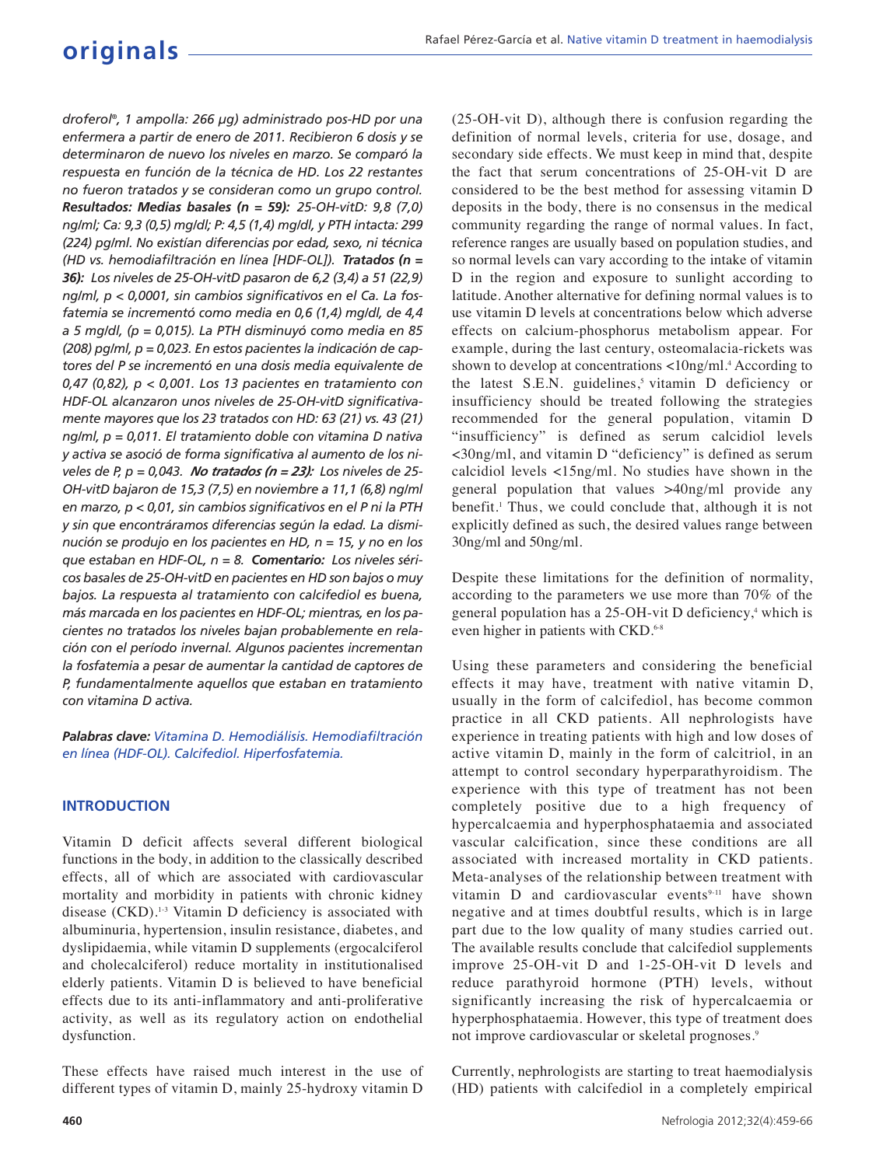*droferol® , 1 ampolla: 266 µg) administrado pos-HD por una enfermera a partir de enero de 2011. Recibieron 6 dosis y se determinaron de nuevo los niveles en marzo. Se comparó la respuesta en función de la técnica de HD. Los 22 restantes no fueron tratados y se consideran como un grupo control. Resultados: Medias basales (n = 59): 25-OH-vitD: 9,8 (7,0) ng/ml; Ca: 9,3 (0,5) mg/dl; P: 4,5 (1,4) mg/dl, y PTH intacta: 299 (224) pg/ml. No existían diferencias por edad, sexo, ni técnica (HD vs. hemodiafiltración en línea [HDF-OL]). Tratados (n = 36): Los niveles de 25-OH-vitD pasaron de 6,2 (3,4) a 51 (22,9) ng/ml, p < 0,0001, sin cambios significativos en el Ca. La fosfatemia se incrementó como media en 0,6 (1,4) mg/dl, de 4,4 a 5 mg/dl, (p = 0,015). La PTH disminuyó como media en 85 (208) pg/ml, p = 0,023. En estos pacientes la indicación de captores del P se incrementó en una dosis media equivalente de 0,47 (0,82), p < 0,001. Los 13 pacientes en tratamiento con HDF-OL alcanzaron unos niveles de 25-OH-vitD significativamente mayores que los 23 tratados con HD: 63 (21) vs. 43 (21) ng/ml, p = 0,011. El tratamiento doble con vitamina D nativa y activa se asoció de forma significativa al aumento de los niveles de P, p = 0,043. No tratados (n = 23): Los niveles de 25- OH-vitD bajaron de 15,3 (7,5) en noviembre a 11,1 (6,8) ng/ml en marzo, p < 0,01, sin cambios significativos en el P ni la PTH y sin que encontráramos diferencias según la edad. La disminución se produjo en los pacientes en HD, n = 15, y no en los que estaban en HDF-OL, n = 8. Comentario: Los niveles séricos basales de 25-OH-vitD en pacientes en HD son bajos o muy bajos. La respuesta al tratamiento con calcifediol es buena, más marcada en los pacientes en HDF-OL; mientras, en los pacientes no tratados los niveles bajan probablemente en relación con el período invernal. Algunos pacientes incrementan la fosfatemia a pesar de aumentar la cantidad de captores de P, fundamentalmente aquellos que estaban en tratamiento con vitamina D activa.*

*Palabras clave: Vitamina D. Hemodiálisis. Hemodiafiltración en línea (HDF-OL). Calcifediol. Hiperfosfatemia.*

## **INTRODUCTION**

Vitamin D deficit affects several different biological functions in the body, in addition to the classically described effects, all of which are associated with cardiovascular mortality and morbidity in patients with chronic kidney disease  $(CKD)$ .<sup>1-3</sup> Vitamin D deficiency is associated with albuminuria, hypertension, insulin resistance, diabetes, and dyslipidaemia, while vitamin D supplements (ergocalciferol and cholecalciferol) reduce mortality in institutionalised elderly patients. Vitamin D is believed to have beneficial effects due to its anti-inflammatory and anti-proliferative activity, as well as its regulatory action on endothelial dysfunction.

These effects have raised much interest in the use of different types of vitamin D, mainly 25-hydroxy vitamin D

(25-OH-vit D), although there is confusion regarding the definition of normal levels, criteria for use, dosage, and secondary side effects. We must keep in mind that, despite the fact that serum concentrations of 25-OH-vit D are considered to be the best method for assessing vitamin D deposits in the body, there is no consensus in the medical community regarding the range of normal values. In fact, reference ranges are usually based on population studies, and so normal levels can vary according to the intake of vitamin D in the region and exposure to sunlight according to latitude. Another alternative for defining normal values is to use vitamin D levels at concentrations below which adverse effects on calcium-phosphorus metabolism appear. For example, during the last century, osteomalacia-rickets was shown to develop at concentrations <10ng/ml.<sup>4</sup> According to the latest  $S.E.N.$  guidelines,<sup>5</sup> vitamin D deficiency or insufficiency should be treated following the strategies recommended for the general population, vitamin D "insufficiency" is defined as serum calcidiol levels <30ng/ml, and vitamin D "deficiency" is defined as serum calcidiol levels <15ng/ml. No studies have shown in the general population that values >40ng/ml provide any benefit.<sup>1</sup> Thus, we could conclude that, although it is not explicitly defined as such, the desired values range between 30ng/ml and 50ng/ml.

Despite these limitations for the definition of normality, according to the parameters we use more than 70% of the general population has a 25-OH-vit D deficiency,<sup>4</sup> which is even higher in patients with CKD.<sup>6-8</sup>

Using these parameters and considering the beneficial effects it may have, treatment with native vitamin D, usually in the form of calcifediol, has become common practice in all CKD patients. All nephrologists have experience in treating patients with high and low doses of active vitamin D, mainly in the form of calcitriol, in an attempt to control secondary hyperparathyroidism. The experience with this type of treatment has not been completely positive due to a high frequency of hypercalcaemia and hyperphosphataemia and associated vascular calcification, since these conditions are all associated with increased mortality in CKD patients. Meta-analyses of the relationship between treatment with vitamin  $D$  and cardiovascular events<sup>9-11</sup> have shown negative and at times doubtful results, which is in large part due to the low quality of many studies carried out. The available results conclude that calcifediol supplements improve 25-OH-vit D and 1-25-OH-vit D levels and reduce parathyroid hormone (PTH) levels, without significantly increasing the risk of hypercalcaemia or hyperphosphataemia. However, this type of treatment does not improve cardiovascular or skeletal prognoses.<sup>9</sup>

Currently, nephrologists are starting to treat haemodialysis (HD) patients with calcifediol in a completely empirical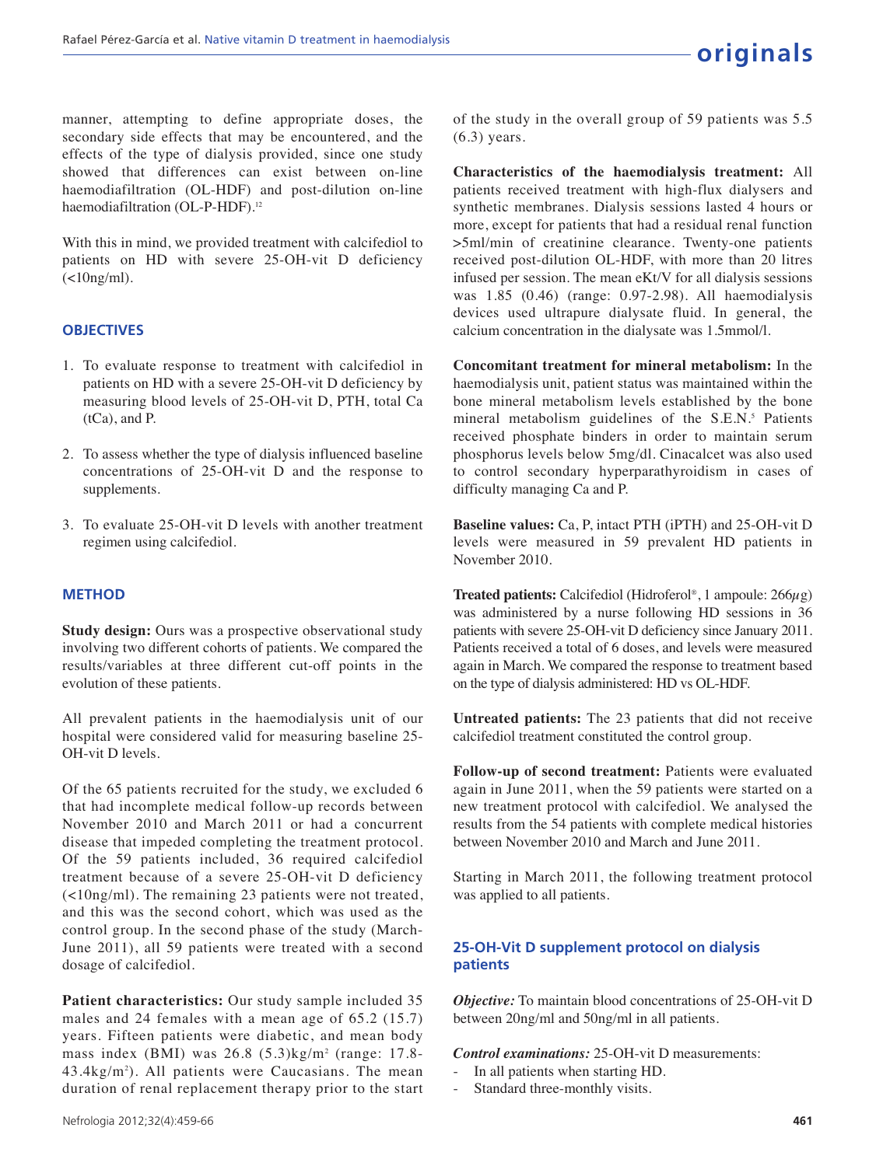manner, attempting to define appropriate doses, the secondary side effects that may be encountered, and the effects of the type of dialysis provided, since one study showed that differences can exist between on-line haemodiafiltration (OL-HDF) and post-dilution on-line haemodiafiltration (OL-P-HDF).<sup>12</sup>

With this in mind, we provided treatment with calcifediol to patients on HD with severe 25-OH-vit D deficiency  $(\langle 10ng/ml \rangle)$ .

## **OBJECTIVES**

- 1. To evaluate response to treatment with calcifediol in patients on HD with a severe 25-OH-vit D deficiency by measuring blood levels of 25-OH-vit D, PTH, total Ca (tCa), and P.
- 2. To assess whether the type of dialysis influenced baseline concentrations of 25-OH-vit D and the response to supplements.
- 3. To evaluate 25-OH-vit D levels with another treatment regimen using calcifediol.

#### **METHOD**

**Study design:** Ours was a prospective observational study involving two different cohorts of patients. We compared the results/variables at three different cut-off points in the evolution of these patients.

All prevalent patients in the haemodialysis unit of our hospital were considered valid for measuring baseline 25- OH-vit D levels.

Of the 65 patients recruited for the study, we excluded 6 that had incomplete medical follow-up records between November 2010 and March 2011 or had a concurrent disease that impeded completing the treatment protocol. Of the 59 patients included, 36 required calcifediol treatment because of a severe 25-OH-vit D deficiency (<10ng/ml). The remaining 23 patients were not treated, and this was the second cohort, which was used as the control group. In the second phase of the study (March-June 2011), all 59 patients were treated with a second dosage of calcifediol.

**Patient characteristics:** Our study sample included 35 males and 24 females with a mean age of 65.2 (15.7) years. Fifteen patients were diabetic, and mean body mass index (BMI) was 26.8 (5.3)kg/m<sup>2</sup> (range: 17.8- 43.4kg/m<sup>2</sup> ). All patients were Caucasians. The mean duration of renal replacement therapy prior to the start of the study in the overall group of 59 patients was 5.5 (6.3) years.

**Characteristics of the haemodialysis treatment:** All patients received treatment with high-flux dialysers and synthetic membranes. Dialysis sessions lasted 4 hours or more, except for patients that had a residual renal function >5ml/min of creatinine clearance. Twenty-one patients received post-dilution OL-HDF, with more than 20 litres infused per session. The mean eKt/V for all dialysis sessions was 1.85 (0.46) (range: 0.97-2.98). All haemodialysis devices used ultrapure dialysate fluid. In general, the calcium concentration in the dialysate was 1.5mmol/l.

**Concomitant treatment for mineral metabolism:** In the haemodialysis unit, patient status was maintained within the bone mineral metabolism levels established by the bone mineral metabolism guidelines of the S.E.N.<sup>5</sup> Patients received phosphate binders in order to maintain serum phosphorus levels below 5mg/dl. Cinacalcet was also used to control secondary hyperparathyroidism in cases of difficulty managing Ca and P.

**Baseline values:** Ca, P, intact PTH (iPTH) and 25-OH-vit D levels were measured in 59 prevalent HD patients in November 2010.

**Treated patients:** Calcifediol (Hidroferol® , 1 ampoule: 266µg) was administered by a nurse following HD sessions in 36 patients with severe 25-OH-vit D deficiency since January 2011. Patients received a total of 6 doses, and levels were measured again in March. We compared the response to treatment based on the type of dialysis administered: HD vs OL-HDF.

**Untreated patients:** The 23 patients that did not receive calcifediol treatment constituted the control group.

**Follow-up of second treatment:** Patients were evaluated again in June 2011, when the 59 patients were started on a new treatment protocol with calcifediol. We analysed the results from the 54 patients with complete medical histories between November 2010 and March and June 2011.

Starting in March 2011, the following treatment protocol was applied to all patients.

## **25-OH-Vit D supplement protocol on dialysis patients**

*Objective:* To maintain blood concentrations of 25-OH-vit D between 20ng/ml and 50ng/ml in all patients.

*Control examinations:* 25-OH-vit D measurements:

- In all patients when starting HD.
- Standard three-monthly visits.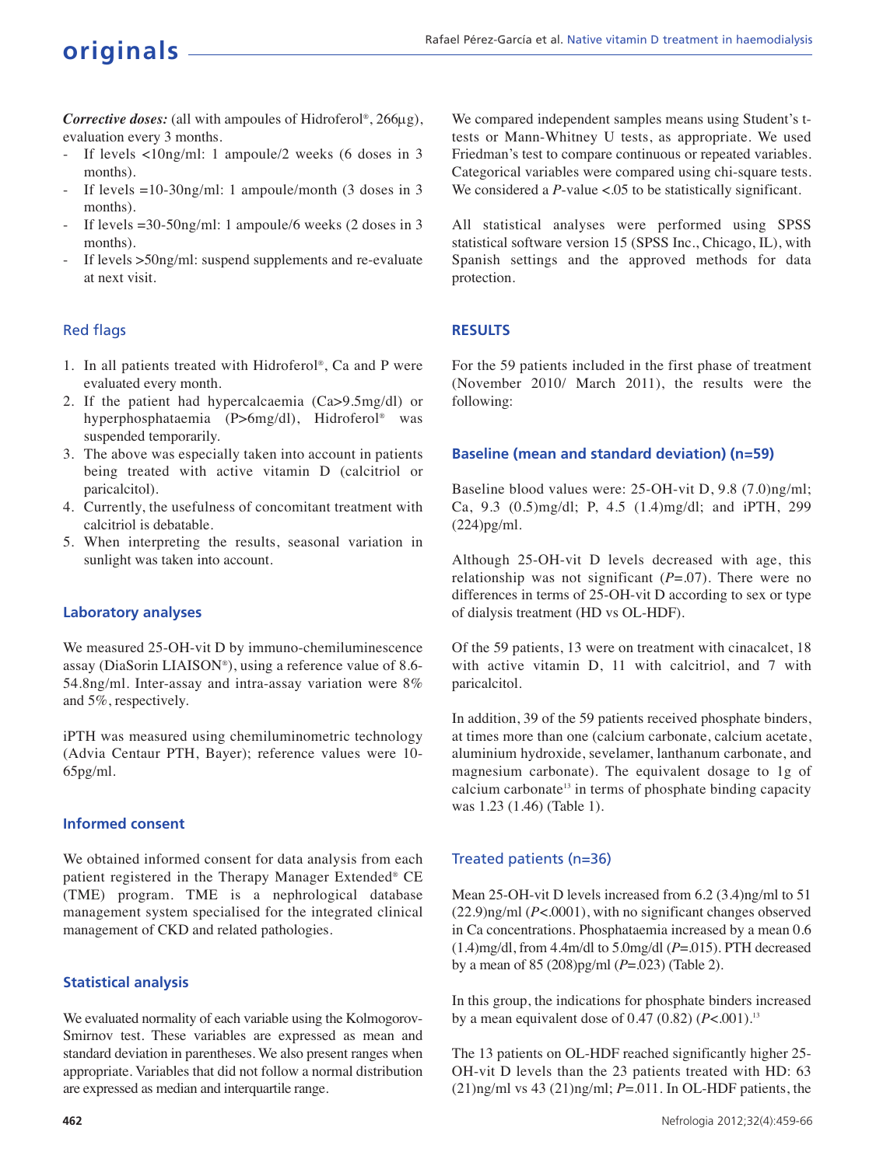*Corrective doses:* (all with ampoules of Hidroferol® , 266µg), evaluation every 3 months.

- If levels  $\langle$ 10ng/ml: 1 ampoule/2 weeks (6 doses in 3 months).
- If levels  $= 10-30$ ng/ml: 1 ampoule/month (3 doses in 3 months).
- If levels =30-50ng/ml: 1 ampoule/6 weeks (2 doses in 3 months).
- If levels >50ng/ml: suspend supplements and re-evaluate at next visit.

## Red flags

- 1. In all patients treated with Hidroferol® , Ca and P were evaluated every month.
- 2. If the patient had hypercalcaemia (Ca>9.5mg/dl) or hyperphosphataemia (P>6mg/dl), Hidroferol® was suspended temporarily.
- 3. The above was especially taken into account in patients being treated with active vitamin D (calcitriol or paricalcitol).
- 4. Currently, the usefulness of concomitant treatment with calcitriol is debatable.
- 5. When interpreting the results, seasonal variation in sunlight was taken into account.

#### **Laboratory analyses**

We measured 25-OH-vit D by immuno-chemiluminescence assay (DiaSorin LIAISON® ), using a reference value of 8.6- 54.8ng/ml. Inter-assay and intra-assay variation were 8% and 5%, respectively.

iPTH was measured using chemiluminometric technology (Advia Centaur PTH, Bayer); reference values were 10- 65pg/ml.

#### **Informed consent**

We obtained informed consent for data analysis from each patient registered in the Therapy Manager Extended® CE (TME) program. TME is a nephrological database management system specialised for the integrated clinical management of CKD and related pathologies.

#### **Statistical analysis**

We evaluated normality of each variable using the Kolmogorov-Smirnov test. These variables are expressed as mean and standard deviation in parentheses. We also present ranges when appropriate. Variables that did not follow a normal distribution are expressed as median and interquartile range.

We compared independent samples means using Student's ttests or Mann-Whitney U tests, as appropriate. We used Friedman's test to compare continuous or repeated variables. Categorical variables were compared using chi-square tests. We considered a *P*-value <.05 to be statistically significant.

All statistical analyses were performed using SPSS statistical software version 15 (SPSS Inc., Chicago, IL), with Spanish settings and the approved methods for data protection.

## **RESULTS**

For the 59 patients included in the first phase of treatment (November 2010/ March 2011), the results were the following:

#### **Baseline (mean and standard deviation) (n=59)**

Baseline blood values were: 25-OH-vit D, 9.8 (7.0)ng/ml; Ca, 9.3 (0.5)mg/dl; P, 4.5 (1.4)mg/dl; and iPTH, 299 (224)pg/ml.

Although 25-OH-vit D levels decreased with age, this relationship was not significant  $(P=0.07)$ . There were no differences in terms of 25-OH-vit D according to sex or type of dialysis treatment (HD vs OL-HDF).

Of the 59 patients, 13 were on treatment with cinacalcet, 18 with active vitamin D, 11 with calcitriol, and 7 with paricalcitol.

In addition, 39 of the 59 patients received phosphate binders, at times more than one (calcium carbonate, calcium acetate, aluminium hydroxide, sevelamer, lanthanum carbonate, and magnesium carbonate). The equivalent dosage to 1g of calcium carbonate<sup>13</sup> in terms of phosphate binding capacity was 1.23 (1.46) (Table 1).

## Treated patients (n=36)

Mean 25-OH-vit D levels increased from 6.2 (3.4)ng/ml to 51 (22.9)ng/ml (*P*<.0001), with no significant changes observed in Ca concentrations. Phosphataemia increased by a mean 0.6 (1.4)mg/dl, from 4.4m/dl to 5.0mg/dl (*P*=.015). PTH decreased by a mean of 85 (208)pg/ml (*P*=.023) (Table 2).

In this group, the indications for phosphate binders increased by a mean equivalent dose of 0.47 (0.82) (*P*<.001).<sup>13</sup>

The 13 patients on OL-HDF reached significantly higher 25- OH-vit D levels than the 23 patients treated with HD: 63 (21)ng/ml vs 43 (21)ng/ml; *P*=.011. In OL-HDF patients, the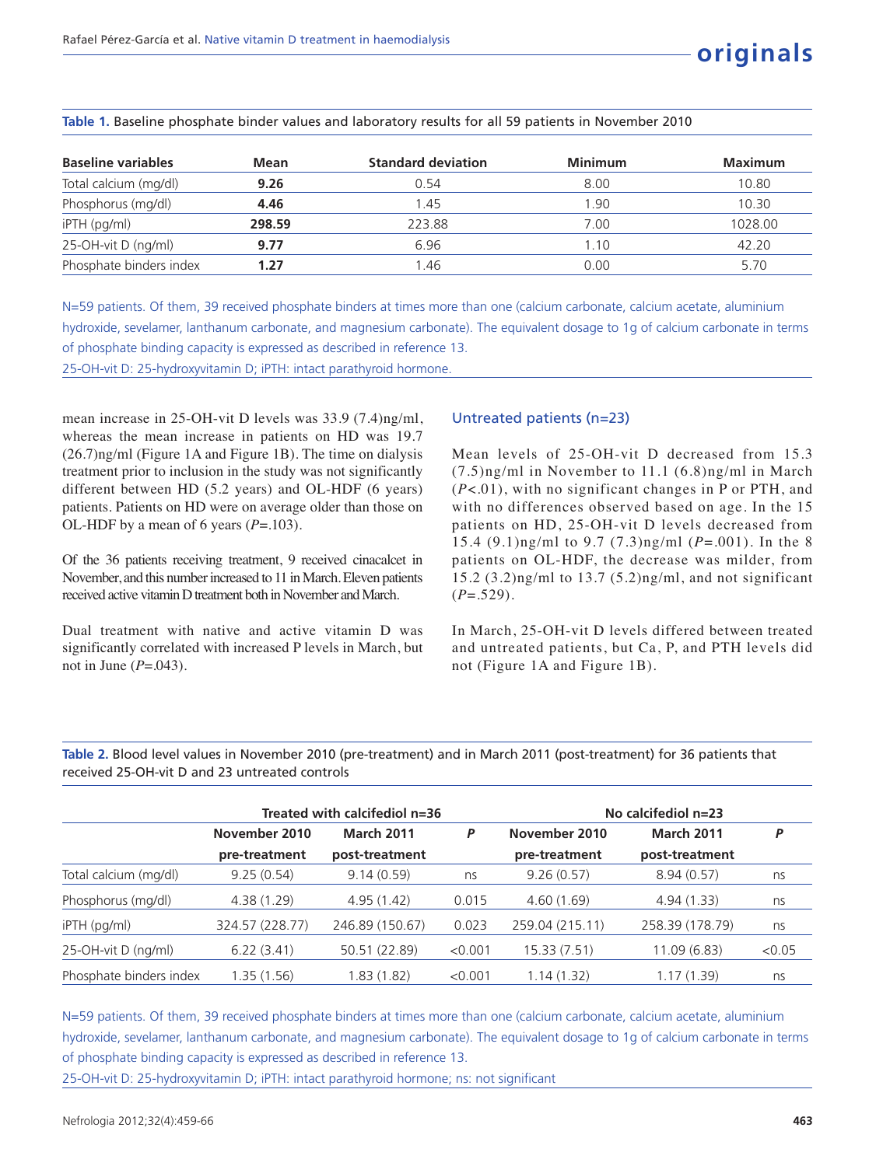| <b>Baseline variables</b><br>Mean |        | <b>Standard deviation</b> | <b>Minimum</b> | Maximum |  |
|-----------------------------------|--------|---------------------------|----------------|---------|--|
| Total calcium (mg/dl)             | 9.26   | 0.54                      | 8.00           | 10.80   |  |
| Phosphorus (mg/dl)                | 4.46   | 1.45                      | 1.90           | 10.30   |  |
| iPTH (pg/ml)                      | 298.59 | 223.88                    | 7.00           | 1028.00 |  |
| 25-OH-vit D (ng/ml)               | 9.77   | 6.96                      | 1.10           | 42.20   |  |
| Phosphate binders index           | 1.27   | .46                       | 0.00           | 5.70    |  |

**Table 1.** Baseline phosphate binder values and laboratory results for all 59 patients in November 2010

N=59 patients. Of them, 39 received phosphate binders at times more than one (calcium carbonate, calcium acetate, aluminium hydroxide, sevelamer, lanthanum carbonate, and magnesium carbonate). The equivalent dosage to 1g of calcium carbonate in terms of phosphate binding capacity is expressed as described in reference 13. 25-OH-vit D: 25-hydroxyvitamin D; iPTH: intact parathyroid hormone.

mean increase in 25-OH-vit D levels was 33.9 (7.4)ng/ml, whereas the mean increase in patients on HD was 19.7 (26.7)ng/ml (Figure 1A and Figure 1B). The time on dialysis treatment prior to inclusion in the study was not significantly different between HD (5.2 years) and OL-HDF (6 years) patients. Patients on HD were on average older than those on OL-HDF by a mean of 6 years (*P*=.103).

Of the 36 patients receiving treatment, 9 received cinacalcet in November, and this number increased to 11 in March. Eleven patients received active vitamin D treatment both in November and March.

Dual treatment with native and active vitamin D was significantly correlated with increased P levels in March, but not in June (*P*=.043).

## Untreated patients (n=23)

Mean levels of 25-OH-vit D decreased from 15.3 (7.5)ng/ml in November to 11.1 (6.8)ng/ml in March (*P*<.01), with no significant changes in P or PTH, and with no differences observed based on age. In the 15 patients on HD, 25-OH-vit D levels decreased from 15.4 (9.1)ng/ml to 9.7 (7.3)ng/ml (*P*=.001). In the 8 patients on OL-HDF, the decrease was milder, from 15.2 (3.2)ng/ml to 13.7 (5.2)ng/ml, and not significant (*P*=.529).

In March, 25-OH-vit D levels differed between treated and untreated patients, but Ca, P, and PTH levels did not (Figure 1A and Figure 1B).

**Table 2.** Blood level values in November 2010 (pre-treatment) and in March 2011 (post-treatment) for 36 patients that received 25-OH-vit D and 23 untreated controls

|                         | Treated with calcifediol n=36 |                   | No calcifediol $n=23$ |                 |                   |        |
|-------------------------|-------------------------------|-------------------|-----------------------|-----------------|-------------------|--------|
|                         | November 2010                 | <b>March 2011</b> | Ρ                     | November 2010   | <b>March 2011</b> | Ρ      |
|                         | pre-treatment                 | post-treatment    |                       | pre-treatment   | post-treatment    |        |
| Total calcium (mg/dl)   | 9.25(0.54)                    | 9.14(0.59)        | ns                    | 9.26(0.57)      | 8.94(0.57)        | ns     |
| Phosphorus (mg/dl)      | 4.38(1.29)                    | 4.95(1.42)        | 0.015                 | 4.60(1.69)      | 4.94(1.33)        | ns     |
| $i$ PTH ( $pq/ml$ )     | 324.57 (228.77)               | 246.89 (150.67)   | 0.023                 | 259.04 (215.11) | 258.39 (178.79)   | ns     |
| 25-OH-vit D (ng/ml)     | 6.22(3.41)                    | 50.51 (22.89)     | < 0.001               | 15.33(7.51)     | 11.09(6.83)       | < 0.05 |
| Phosphate binders index | 1.35(1.56)                    | 1.83(1.82)        | < 0.001               | 1.14(1.32)      | 1.17(1.39)        | ns     |

N=59 patients. Of them, 39 received phosphate binders at times more than one (calcium carbonate, calcium acetate, aluminium hydroxide, sevelamer, lanthanum carbonate, and magnesium carbonate). The equivalent dosage to 1g of calcium carbonate in terms of phosphate binding capacity is expressed as described in reference 13. 25-OH-vit D: 25-hydroxyvitamin D; iPTH: intact parathyroid hormone; ns: not significant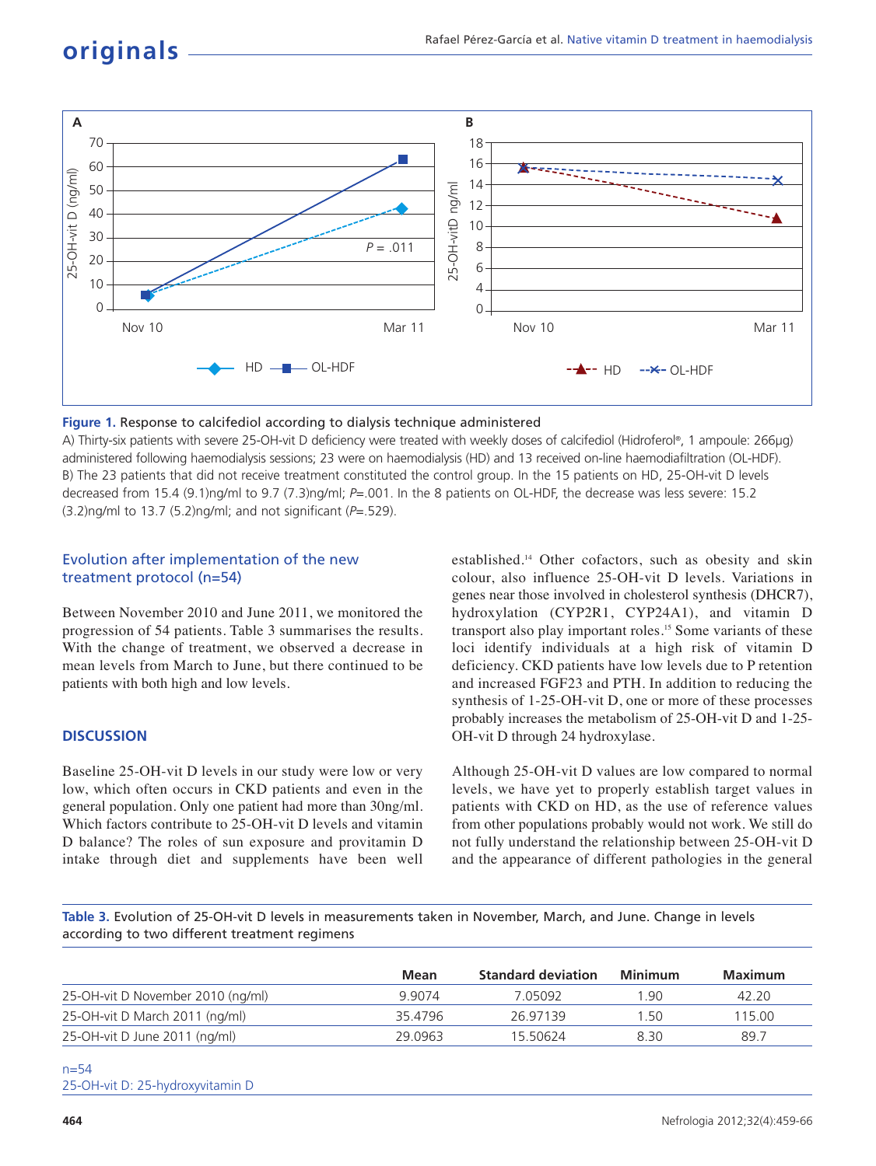

#### **Figure 1.** Response to calcifediol according to dialysis technique administered

A) Thirty-six patients with severe 25-OH-vit D deficiency were treated with weekly doses of calcifediol (Hidroferol® , 1 ampoule: 266µg) administered following haemodialysis sessions; 23 were on haemodialysis (HD) and 13 received on-line haemodiafiltration (OL-HDF). B) The 23 patients that did not receive treatment constituted the control group. In the 15 patients on HD, 25-OH-vit D levels decreased from 15.4 (9.1)ng/ml to 9.7 (7.3)ng/ml; *P*=.001. In the 8 patients on OL-HDF, the decrease was less severe: 15.2 (3.2)ng/ml to 13.7 (5.2)ng/ml; and not significant (*P*=.529).

### Evolution after implementation of the new treatment protocol (n=54)

Between November 2010 and June 2011, we monitored the progression of 54 patients. Table 3 summarises the results. With the change of treatment, we observed a decrease in mean levels from March to June, but there continued to be patients with both high and low levels.

#### **DISCUSSION**

Baseline 25-OH-vit D levels in our study were low or very low, which often occurs in CKD patients and even in the general population. Only one patient had more than 30ng/ml. Which factors contribute to 25-OH-vit D levels and vitamin D balance? The roles of sun exposure and provitamin D intake through diet and supplements have been well established.<sup>14</sup> Other cofactors, such as obesity and skin colour, also influence 25-OH-vit D levels. Variations in genes near those involved in cholesterol synthesis (DHCR7), hydroxylation (CYP2R1, CYP24A1), and vitamin D transport also play important roles.<sup>15</sup> Some variants of these loci identify individuals at a high risk of vitamin D deficiency. CKD patients have low levels due to P retention and increased FGF23 and PTH. In addition to reducing the synthesis of 1-25-OH-vit D, one or more of these processes probably increases the metabolism of 25-OH-vit D and 1-25- OH-vit D through 24 hydroxylase.

Although 25-OH-vit D values are low compared to normal levels, we have yet to properly establish target values in patients with CKD on HD, as the use of reference values from other populations probably would not work. We still do not fully understand the relationship between 25-OH-vit D and the appearance of different pathologies in the general

**Table 3.** Evolution of 25-OH-vit D levels in measurements taken in November, March, and June. Change in levels according to two different treatment regimens

| Mean    | <b>Standard deviation</b> | Minimum | Maximum |
|---------|---------------------------|---------|---------|
| 9.9074  | 7 05092                   | .90     | 42.20   |
| 35 4796 | 26 97139                  | 150     | 115.00  |
| 29 0963 | 15 50624                  | 830     | 89.7    |
|         |                           |         |         |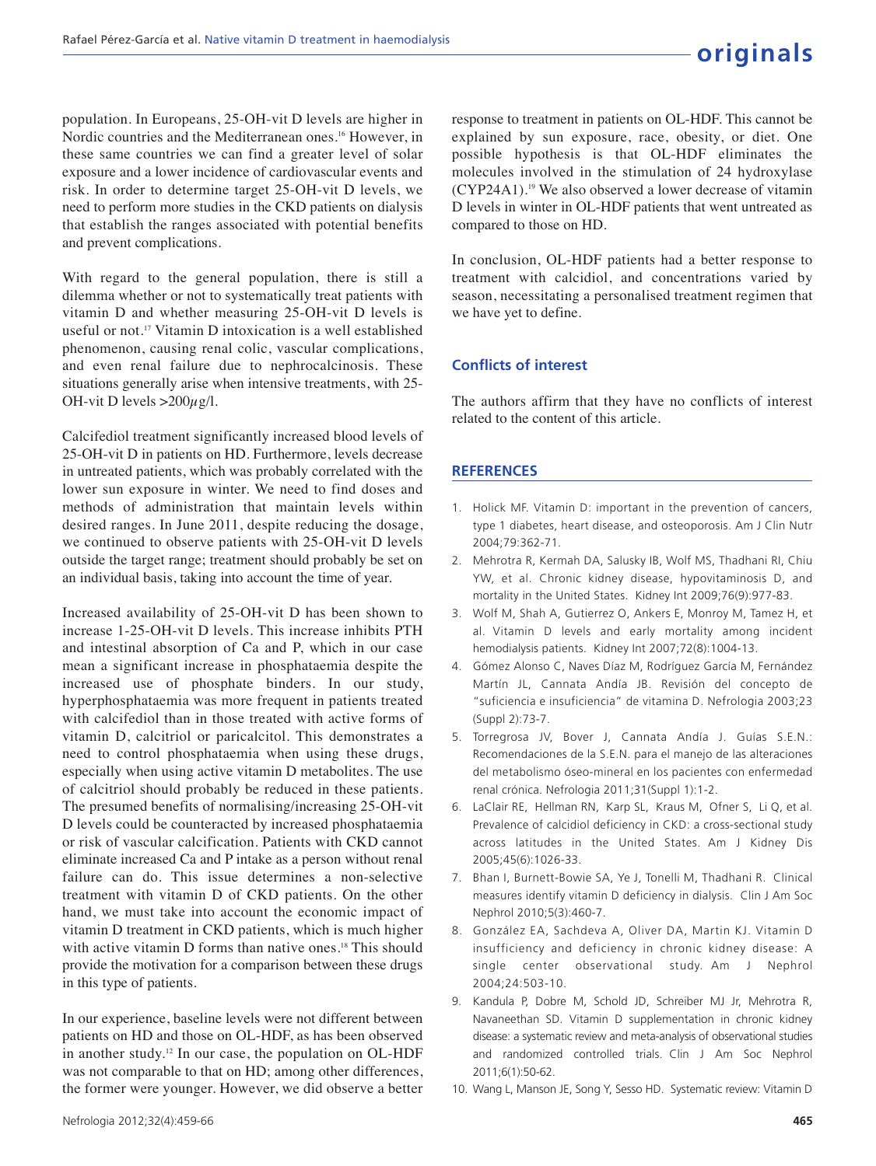population. In Europeans, 25-OH-vit D levels are higher in Nordic countries and the Mediterranean ones.<sup>16</sup> However, in these same countries we can find a greater level of solar exposure and a lower incidence of cardiovascular events and risk. In order to determine target 25-OH-vit D levels, we need to perform more studies in the CKD patients on dialysis that establish the ranges associated with potential benefits and prevent complications.

With regard to the general population, there is still a dilemma whether or not to systematically treat patients with vitamin D and whether measuring 25-OH-vit D levels is useful or not.<sup>17</sup> Vitamin D intoxication is a well established phenomenon, causing renal colic, vascular complications, and even renal failure due to nephrocalcinosis. These situations generally arise when intensive treatments, with 25- OH-vit D levels  $>200\mu$ g/l.

Calcifediol treatment significantly increased blood levels of 25-OH-vit D in patients on HD. Furthermore, levels decrease in untreated patients, which was probably correlated with the lower sun exposure in winter. We need to find doses and methods of administration that maintain levels within desired ranges. In June 2011, despite reducing the dosage, we continued to observe patients with 25-OH-vit D levels outside the target range; treatment should probably be set on an individual basis, taking into account the time of year.

Increased availability of 25-OH-vit D has been shown to increase 1-25-OH-vit D levels. This increase inhibits PTH and intestinal absorption of Ca and P, which in our case mean a significant increase in phosphataemia despite the increased use of phosphate binders. In our study, hyperphosphataemia was more frequent in patients treated with calcifediol than in those treated with active forms of vitamin D, calcitriol or paricalcitol. This demonstrates a need to control phosphataemia when using these drugs, especially when using active vitamin D metabolites. The use of calcitriol should probably be reduced in these patients. The presumed benefits of normalising/increasing 25-OH-vit D levels could be counteracted by increased phosphataemia or risk of vascular calcification. Patients with CKD cannot eliminate increased Ca and P intake as a person without renal failure can do. This issue determines a non-selective treatment with vitamin D of CKD patients. On the other hand, we must take into account the economic impact of vitamin D treatment in CKD patients, which is much higher with active vitamin D forms than native ones.<sup>18</sup> This should provide the motivation for a comparison between these drugs in this type of patients.

In our experience, baseline levels were not different between patients on HD and those on OL-HDF, as has been observed in another study.<sup>12</sup> In our case, the population on OL-HDF was not comparable to that on HD; among other differences, the former were younger. However, we did observe a better

response to treatment in patients on OL-HDF. This cannot be explained by sun exposure, race, obesity, or diet. One possible hypothesis is that OL-HDF eliminates the molecules involved in the stimulation of 24 hydroxylase (CYP24A1).<sup>19</sup> We also observed a lower decrease of vitamin D levels in winter in OL-HDF patients that went untreated as compared to those on HD.

In conclusion, OL-HDF patients had a better response to treatment with calcidiol, and concentrations varied by season, necessitating a personalised treatment regimen that we have yet to define.

## **Conflicts of interest**

The authors affirm that they have no conflicts of interest related to the content of this article.

## **REFERENCES**

- 1. Holick MF. Vitamin D: important in the prevention of cancers, type 1 diabetes, heart disease, and osteoporosis. Am J Clin Nutr 2004;79:362-71.
- 2. Mehrotra R, Kermah DA, Salusky IB, Wolf MS, Thadhani RI, Chiu YW, et al. Chronic kidney disease, hypovitaminosis D, and mortality in the United States. Kidney Int 2009;76(9):977-83.
- 3. Wolf M, Shah A, Gutierrez O, Ankers E, Monroy M, Tamez H, et al. Vitamin D levels and early mortality among incident hemodialysis patients. Kidney Int 2007;72(8):1004-13.
- 4. Gómez Alonso C, Naves Díaz M, Rodríguez García M, Fernández Martín JL, Cannata Andía JB. Revisión del concepto de "suficiencia e insuficiencia" de vitamina D. Nefrologia 2003;23 (Suppl 2):73-7.
- 5. Torregrosa JV, Bover J, Cannata Andía J. Guías S.E.N.: Recomendaciones de la S.E.N. para el manejo de las alteraciones del metabolismo óseo-mineral en los pacientes con enfermedad renal crónica. Nefrologia 2011;31(Suppl 1):1-2.
- 6. LaClair RE, Hellman RN, Karp SL, Kraus M, Ofner S, Li Q, et al. Prevalence of calcidiol deficiency in CKD: a cross-sectional study across latitudes in the United States. Am J Kidney Dis 2005;45(6):1026-33.
- 7. Bhan I, Burnett-Bowie SA, Ye J, Tonelli M, Thadhani R. Clinical measures identify vitamin D deficiency in dialysis. Clin J Am Soc Nephrol 2010;5(3):460-7.
- 8. González EA, Sachdeva A, Oliver DA, Martin KJ. Vitamin D insufficiency and deficiency in chronic kidney disease: A single center observational study. Am J Nephrol 2004;24:503-10.
- 9. Kandula P, Dobre M, Schold JD, Schreiber MJ Jr, Mehrotra R, Navaneethan SD. Vitamin D supplementation in chronic kidney disease: a systematic review and meta-analysis of observational studies and randomized controlled trials. Clin J Am Soc Nephrol 2011;6(1):50-62.
- 10. Wang L, Manson JE, Song Y, Sesso HD. Systematic review: Vitamin D